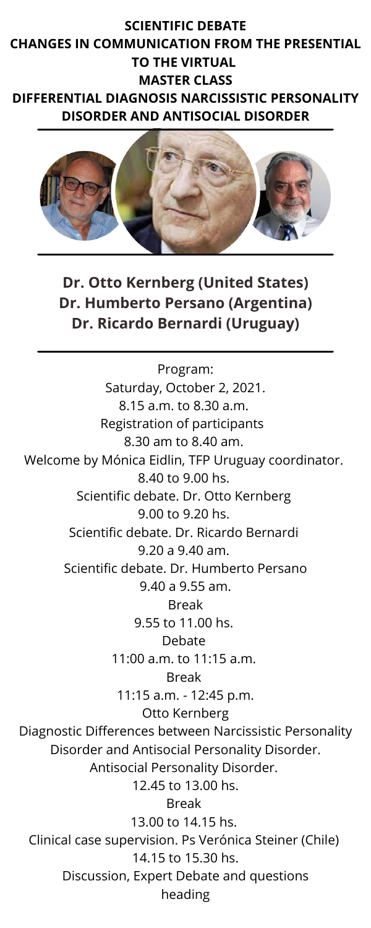## **SCIENTIFIC DEBATE CHANGES IN COMMUNICATION FROM THE PRESENTIAL TO THE VIRTUAL MASTER CLASS**

**DIFFERENTIAL DIAGNOSIS NARCISSISTIC PERSONALITY DISORDER AND ANTISOCIAL DISORDER**



**Dr. Otto Kernberg (United States) Dr. Humberto Persano (Argentina) Dr. Ricardo Bernardi (Uruguay)**

Program: Saturday, October 2, 2021. 8.15 a.m. to 8.30 a.m. Registration of participants 8.30 am to 8.40 am. Welcome by Mónica Eidlin, TFP Uruguay coordinator. 8.40 to 9.00 hs. Scientific debate. Dr. Otto Kernberg 9.00 to 9.20 hs. Scientific debate. Dr. Ricardo Bernardi 9.20 a 9.40 am.

Scientific debate. Dr. Humberto Persano 9.40 a 9.55 am. Break 9.55 to 11.00 hs. Debate 11:00 a.m. to 11:15 a.m. Break 11:15 a.m. - 12:45 p.m. Otto Kernberg Diagnostic Differences between Narcissistic Personality Disorder and Antisocial Personality Disorder. Antisocial Personality Disorder. 12.45 to 13.00 hs. Break 13.00 to 14.15 hs. Clinical case supervision. Ps Verónica Steiner (Chile) 14.15 to 15.30 hs. Discussion, Expert Debate and questions heading